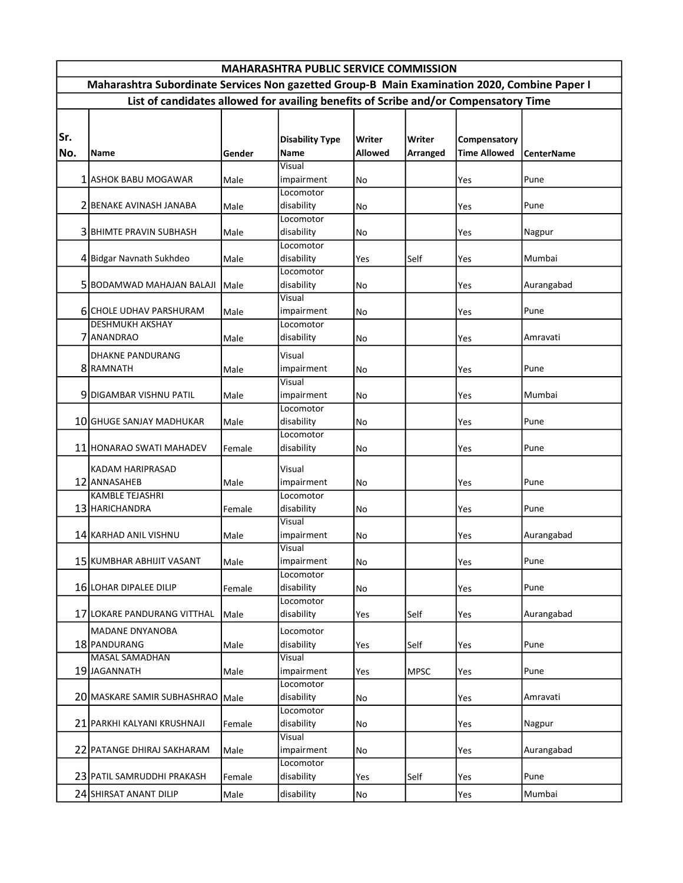| <b>MAHARASHTRA PUBLIC SERVICE COMMISSION</b>                                                 |                                                   |        |                                |                          |                    |                                     |                   |  |  |  |  |  |
|----------------------------------------------------------------------------------------------|---------------------------------------------------|--------|--------------------------------|--------------------------|--------------------|-------------------------------------|-------------------|--|--|--|--|--|
| Maharashtra Subordinate Services Non gazetted Group-B Main Examination 2020, Combine Paper I |                                                   |        |                                |                          |                    |                                     |                   |  |  |  |  |  |
| List of candidates allowed for availing benefits of Scribe and/or Compensatory Time          |                                                   |        |                                |                          |                    |                                     |                   |  |  |  |  |  |
| Sr.<br>No.                                                                                   | Name                                              | Gender | <b>Disability Type</b><br>Name | Writer<br><b>Allowed</b> | Writer<br>Arranged | Compensatory<br><b>Time Allowed</b> | <b>CenterName</b> |  |  |  |  |  |
|                                                                                              |                                                   |        | Visual                         |                          |                    |                                     |                   |  |  |  |  |  |
|                                                                                              | 1 ASHOK BABU MOGAWAR                              | Male   | impairment<br>Locomotor        | No                       |                    | Yes                                 | Pune              |  |  |  |  |  |
|                                                                                              | 2 BENAKE AVINASH JANABA                           | Male   | disability                     | No                       |                    | Yes                                 | Pune              |  |  |  |  |  |
|                                                                                              |                                                   |        | Locomotor                      |                          |                    |                                     |                   |  |  |  |  |  |
|                                                                                              | <b>3 BHIMTE PRAVIN SUBHASH</b>                    | Male   | disability                     | No                       |                    | Yes                                 | Nagpur            |  |  |  |  |  |
|                                                                                              |                                                   |        | Locomotor                      |                          |                    |                                     |                   |  |  |  |  |  |
|                                                                                              | 4 Bidgar Navnath Sukhdeo                          | Male   | disability                     | Yes                      | Self               | Yes                                 | Mumbai            |  |  |  |  |  |
|                                                                                              |                                                   |        | Locomotor                      |                          |                    |                                     |                   |  |  |  |  |  |
|                                                                                              | 5 BODAMWAD MAHAJAN BALAJI Male                    |        | disability                     | No                       |                    | Yes                                 | Aurangabad        |  |  |  |  |  |
|                                                                                              |                                                   |        | Visual                         |                          |                    |                                     |                   |  |  |  |  |  |
|                                                                                              | 6 CHOLE UDHAV PARSHURAM<br><b>DESHMUKH AKSHAY</b> | Male   | impairment<br>Locomotor        | No                       |                    | Yes                                 | Pune              |  |  |  |  |  |
|                                                                                              | 7 ANANDRAO                                        | Male   | disability                     | No                       |                    | Yes                                 | Amravati          |  |  |  |  |  |
|                                                                                              |                                                   |        | Visual                         |                          |                    |                                     |                   |  |  |  |  |  |
|                                                                                              | <b>DHAKNE PANDURANG</b><br>8RAMNATH               | Male   | impairment                     | No                       |                    | Yes                                 | Pune              |  |  |  |  |  |
|                                                                                              |                                                   |        | Visual                         |                          |                    |                                     |                   |  |  |  |  |  |
|                                                                                              | 9 DIGAMBAR VISHNU PATIL                           | Male   | impairment                     | No                       |                    | Yes                                 | Mumbai            |  |  |  |  |  |
|                                                                                              |                                                   |        | Locomotor                      |                          |                    |                                     |                   |  |  |  |  |  |
|                                                                                              | 10 GHUGE SANJAY MADHUKAR                          | Male   | disability                     | No                       |                    | Yes                                 | Pune              |  |  |  |  |  |
|                                                                                              |                                                   |        | Locomotor                      |                          |                    |                                     |                   |  |  |  |  |  |
|                                                                                              | 11 HONARAO SWATI MAHADEV                          | Female | disability                     | No                       |                    | Yes                                 | Pune              |  |  |  |  |  |
|                                                                                              | KADAM HARIPRASAD                                  |        | Visual                         |                          |                    |                                     |                   |  |  |  |  |  |
|                                                                                              | 12 ANNASAHEB                                      | Male   | impairment                     | No                       |                    | Yes                                 | Pune              |  |  |  |  |  |
|                                                                                              | <b>KAMBLE TEJASHRI</b>                            |        | Locomotor                      |                          |                    |                                     |                   |  |  |  |  |  |
|                                                                                              | 13 HARICHANDRA                                    | Female | disability                     | No                       |                    | Yes                                 | Pune              |  |  |  |  |  |
|                                                                                              |                                                   |        | Visual                         |                          |                    |                                     |                   |  |  |  |  |  |
|                                                                                              | 14 KARHAD ANIL VISHNU                             | Male   | impairment<br>Visual           | No                       |                    | Yes                                 | Aurangabad        |  |  |  |  |  |
|                                                                                              | 15 KUMBHAR ABHIJIT VASANT                         | Male   | impairment                     | No                       |                    | Yes                                 | Pune              |  |  |  |  |  |
|                                                                                              |                                                   |        | Locomotor                      |                          |                    |                                     |                   |  |  |  |  |  |
|                                                                                              | 16 LOHAR DIPALEE DILIP                            | Female | disability                     | No                       |                    | Yes                                 | Pune              |  |  |  |  |  |
|                                                                                              |                                                   |        | Locomotor                      |                          |                    |                                     |                   |  |  |  |  |  |
|                                                                                              | 17 LOKARE PANDURANG VITTHAL                       | Male   | disability                     | Yes                      | Self               | Yes                                 | Aurangabad        |  |  |  |  |  |
|                                                                                              | <b>MADANE DNYANOBA</b>                            |        | Locomotor                      |                          |                    |                                     |                   |  |  |  |  |  |
|                                                                                              | 18 PANDURANG                                      | Male   | disability                     | Yes                      | Self               | Yes                                 | Pune              |  |  |  |  |  |
|                                                                                              | <b>MASAL SAMADHAN</b>                             |        | Visual                         |                          |                    |                                     |                   |  |  |  |  |  |
|                                                                                              | 19 JAGANNATH                                      | Male   | impairment                     | Yes                      | <b>MPSC</b>        | Yes                                 | Pune              |  |  |  |  |  |
|                                                                                              | 20 MASKARE SAMIR SUBHASHRAO Male                  |        | Locomotor<br>disability        |                          |                    |                                     |                   |  |  |  |  |  |
|                                                                                              |                                                   |        | Locomotor                      | No                       |                    | Yes                                 | Amravati          |  |  |  |  |  |
|                                                                                              | 21 PARKHI KALYANI KRUSHNAJI                       | Female | disability                     | No                       |                    | Yes                                 | Nagpur            |  |  |  |  |  |
|                                                                                              |                                                   |        | Visual                         |                          |                    |                                     |                   |  |  |  |  |  |
|                                                                                              | 22 PATANGE DHIRAJ SAKHARAM                        | Male   | impairment                     | No                       |                    | Yes                                 | Aurangabad        |  |  |  |  |  |
|                                                                                              |                                                   |        | Locomotor                      |                          |                    |                                     |                   |  |  |  |  |  |
|                                                                                              | 23 PATIL SAMRUDDHI PRAKASH                        | Female | disability                     | Yes                      | Self               | Yes                                 | Pune              |  |  |  |  |  |
|                                                                                              | 24 SHIRSAT ANANT DILIP                            | Male   | disability                     | No                       |                    | Yes                                 | Mumbai            |  |  |  |  |  |